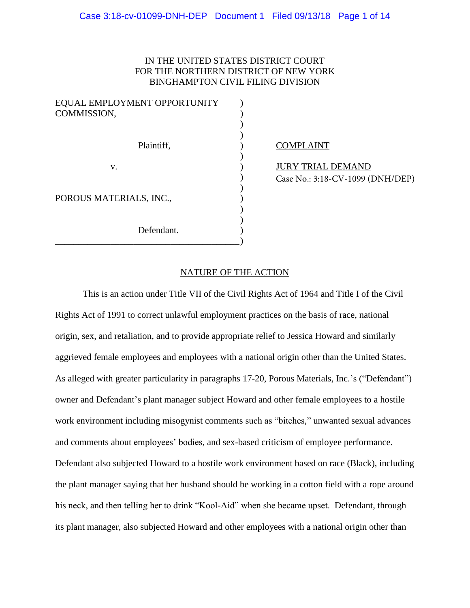## IN THE UNITED STATES DISTRICT COURT FOR THE NORTHERN DISTRICT OF NEW YORK BINGHAMPTON CIVIL FILING DIVISION

| EQUAL EMPLOYMENT OPPORTUNITY |  |  |  |  |  |  |
|------------------------------|--|--|--|--|--|--|
| COMMISSION,                  |  |  |  |  |  |  |
|                              |  |  |  |  |  |  |
| Plaintiff,                   |  |  |  |  |  |  |
| v.                           |  |  |  |  |  |  |
| POROUS MATERIALS, INC.,      |  |  |  |  |  |  |
| Defendant.                   |  |  |  |  |  |  |

\_\_\_\_\_\_\_\_\_\_\_\_\_\_\_\_\_\_\_\_\_\_\_\_\_\_\_\_\_\_\_\_\_\_\_\_\_\_\_\_)

## COMPLAINT

JURY TRIAL DEMAND Case No.: 3:18-CV-1099 (DNH/DEP)

## NATURE OF THE ACTION

This is an action under Title VII of the Civil Rights Act of 1964 and Title I of the Civil Rights Act of 1991 to correct unlawful employment practices on the basis of race, national origin, sex, and retaliation, and to provide appropriate relief to Jessica Howard and similarly aggrieved female employees and employees with a national origin other than the United States. As alleged with greater particularity in paragraphs 17-20, Porous Materials, Inc.'s ("Defendant") owner and Defendant's plant manager subject Howard and other female employees to a hostile work environment including misogynist comments such as "bitches," unwanted sexual advances and comments about employees' bodies, and sex-based criticism of employee performance. Defendant also subjected Howard to a hostile work environment based on race (Black), including the plant manager saying that her husband should be working in a cotton field with a rope around his neck, and then telling her to drink "Kool-Aid" when she became upset. Defendant, through its plant manager, also subjected Howard and other employees with a national origin other than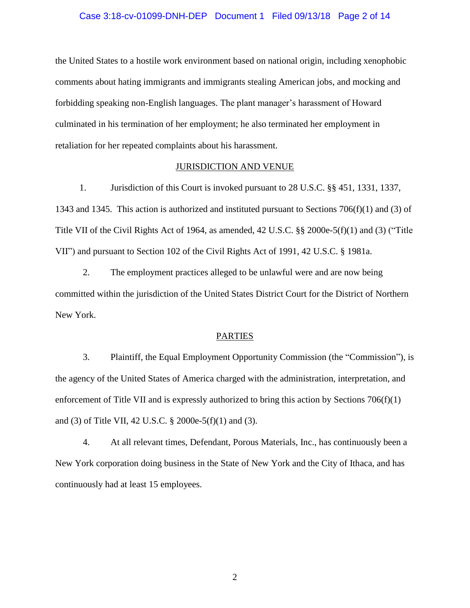# Case 3:18-cv-01099-DNH-DEP Document 1 Filed 09/13/18 Page 2 of 14

the United States to a hostile work environment based on national origin, including xenophobic comments about hating immigrants and immigrants stealing American jobs, and mocking and forbidding speaking non-English languages. The plant manager's harassment of Howard culminated in his termination of her employment; he also terminated her employment in retaliation for her repeated complaints about his harassment.

## JURISDICTION AND VENUE

1. Jurisdiction of this Court is invoked pursuant to 28 U.S.C. §§ 451, 1331, 1337, 1343 and 1345. This action is authorized and instituted pursuant to Sections 706(f)(1) and (3) of Title VII of the Civil Rights Act of 1964, as amended, 42 U.S.C. §§ 2000e-5(f)(1) and (3) ("Title VII") and pursuant to Section 102 of the Civil Rights Act of 1991, 42 U.S.C. § 1981a.

2. The employment practices alleged to be unlawful were and are now being committed within the jurisdiction of the United States District Court for the District of Northern New York.

#### PARTIES

3. Plaintiff, the Equal Employment Opportunity Commission (the "Commission"), is the agency of the United States of America charged with the administration, interpretation, and enforcement of Title VII and is expressly authorized to bring this action by Sections 706(f)(1) and (3) of Title VII, 42 U.S.C. § 2000e-5(f)(1) and (3).

4. At all relevant times, Defendant, Porous Materials, Inc., has continuously been a New York corporation doing business in the State of New York and the City of Ithaca, and has continuously had at least 15 employees.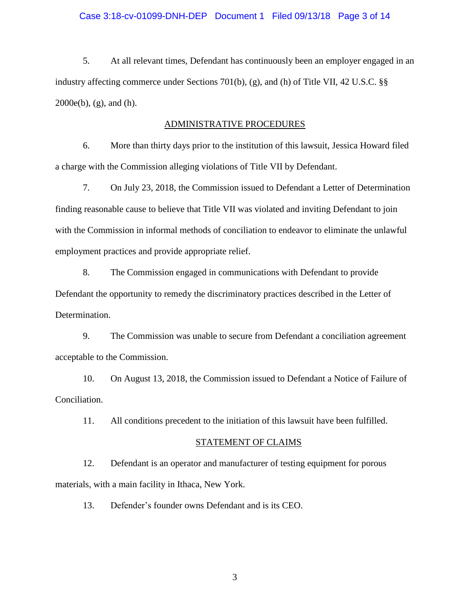## Case 3:18-cv-01099-DNH-DEP Document 1 Filed 09/13/18 Page 3 of 14

5. At all relevant times, Defendant has continuously been an employer engaged in an industry affecting commerce under Sections 701(b), (g), and (h) of Title VII, 42 U.S.C. §§ 2000e(b), (g), and (h).

## ADMINISTRATIVE PROCEDURES

6. More than thirty days prior to the institution of this lawsuit, Jessica Howard filed a charge with the Commission alleging violations of Title VII by Defendant.

7. On July 23, 2018, the Commission issued to Defendant a Letter of Determination finding reasonable cause to believe that Title VII was violated and inviting Defendant to join with the Commission in informal methods of conciliation to endeavor to eliminate the unlawful employment practices and provide appropriate relief.

8. The Commission engaged in communications with Defendant to provide Defendant the opportunity to remedy the discriminatory practices described in the Letter of Determination.

9. The Commission was unable to secure from Defendant a conciliation agreement acceptable to the Commission.

10. On August 13, 2018, the Commission issued to Defendant a Notice of Failure of Conciliation.

11. All conditions precedent to the initiation of this lawsuit have been fulfilled.

#### STATEMENT OF CLAIMS

12. Defendant is an operator and manufacturer of testing equipment for porous materials, with a main facility in Ithaca, New York.

13. Defender's founder owns Defendant and is its CEO.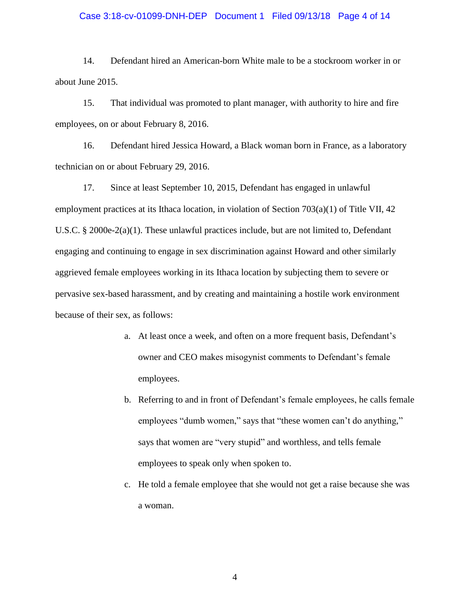# Case 3:18-cv-01099-DNH-DEP Document 1 Filed 09/13/18 Page 4 of 14

14. Defendant hired an American-born White male to be a stockroom worker in or about June 2015.

15. That individual was promoted to plant manager, with authority to hire and fire employees, on or about February 8, 2016.

16. Defendant hired Jessica Howard, a Black woman born in France, as a laboratory technician on or about February 29, 2016.

17. Since at least September 10, 2015, Defendant has engaged in unlawful employment practices at its Ithaca location, in violation of Section 703(a)(1) of Title VII, 42 U.S.C. § 2000e-2(a)(1). These unlawful practices include, but are not limited to, Defendant engaging and continuing to engage in sex discrimination against Howard and other similarly aggrieved female employees working in its Ithaca location by subjecting them to severe or pervasive sex-based harassment, and by creating and maintaining a hostile work environment because of their sex, as follows:

- a. At least once a week, and often on a more frequent basis, Defendant's owner and CEO makes misogynist comments to Defendant's female employees.
- b. Referring to and in front of Defendant's female employees, he calls female employees "dumb women," says that "these women can't do anything," says that women are "very stupid" and worthless, and tells female employees to speak only when spoken to.
- c. He told a female employee that she would not get a raise because she was a woman.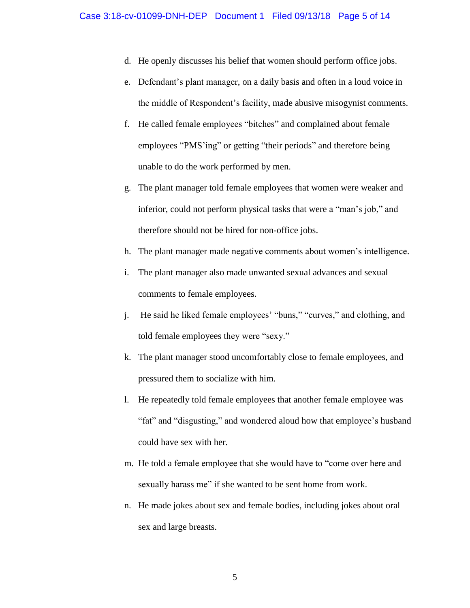- d. He openly discusses his belief that women should perform office jobs.
- e. Defendant's plant manager, on a daily basis and often in a loud voice in the middle of Respondent's facility, made abusive misogynist comments.
- f. He called female employees "bitches" and complained about female employees "PMS'ing" or getting "their periods" and therefore being unable to do the work performed by men.
- g. The plant manager told female employees that women were weaker and inferior, could not perform physical tasks that were a "man's job," and therefore should not be hired for non-office jobs.
- h. The plant manager made negative comments about women's intelligence.
- i. The plant manager also made unwanted sexual advances and sexual comments to female employees.
- j. He said he liked female employees' "buns," "curves," and clothing, and told female employees they were "sexy."
- k. The plant manager stood uncomfortably close to female employees, and pressured them to socialize with him.
- l. He repeatedly told female employees that another female employee was "fat" and "disgusting," and wondered aloud how that employee's husband could have sex with her.
- m. He told a female employee that she would have to "come over here and sexually harass me" if she wanted to be sent home from work.
- n. He made jokes about sex and female bodies, including jokes about oral sex and large breasts.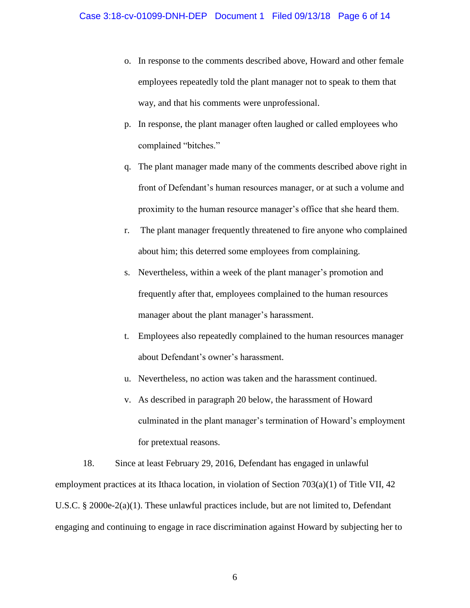- o. In response to the comments described above, Howard and other female employees repeatedly told the plant manager not to speak to them that way, and that his comments were unprofessional.
- p. In response, the plant manager often laughed or called employees who complained "bitches."
- q. The plant manager made many of the comments described above right in front of Defendant's human resources manager, or at such a volume and proximity to the human resource manager's office that she heard them.
- r. The plant manager frequently threatened to fire anyone who complained about him; this deterred some employees from complaining.
- s. Nevertheless, within a week of the plant manager's promotion and frequently after that, employees complained to the human resources manager about the plant manager's harassment.
- t. Employees also repeatedly complained to the human resources manager about Defendant's owner's harassment.
- u. Nevertheless, no action was taken and the harassment continued.
- v. As described in paragraph 20 below, the harassment of Howard culminated in the plant manager's termination of Howard's employment for pretextual reasons.

18. Since at least February 29, 2016, Defendant has engaged in unlawful employment practices at its Ithaca location, in violation of Section  $703(a)(1)$  of Title VII, 42 U.S.C. § 2000e-2(a)(1). These unlawful practices include, but are not limited to, Defendant engaging and continuing to engage in race discrimination against Howard by subjecting her to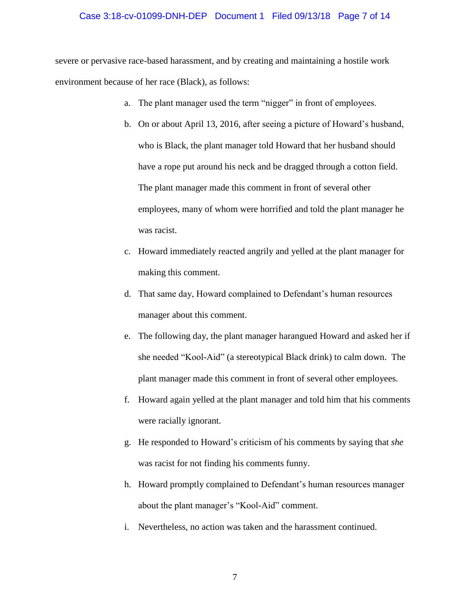## Case 3:18-cv-01099-DNH-DEP Document 1 Filed 09/13/18 Page 7 of 14

severe or pervasive race-based harassment, and by creating and maintaining a hostile work environment because of her race (Black), as follows:

- a. The plant manager used the term "nigger" in front of employees.
- b. On or about April 13, 2016, after seeing a picture of Howard's husband, who is Black, the plant manager told Howard that her husband should have a rope put around his neck and be dragged through a cotton field. The plant manager made this comment in front of several other employees, many of whom were horrified and told the plant manager he was racist.
- c. Howard immediately reacted angrily and yelled at the plant manager for making this comment.
- d. That same day, Howard complained to Defendant's human resources manager about this comment.
- e. The following day, the plant manager harangued Howard and asked her if she needed "Kool-Aid" (a stereotypical Black drink) to calm down. The plant manager made this comment in front of several other employees.
- f. Howard again yelled at the plant manager and told him that his comments were racially ignorant.
- g. He responded to Howard's criticism of his comments by saying that *she*  was racist for not finding his comments funny.
- h. Howard promptly complained to Defendant's human resources manager about the plant manager's "Kool-Aid" comment.
- i. Nevertheless, no action was taken and the harassment continued.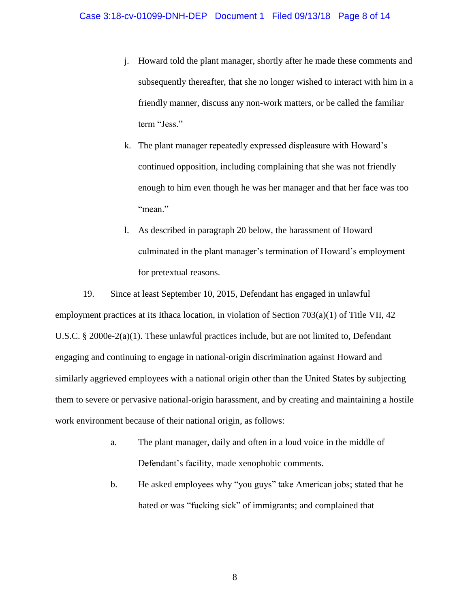- j. Howard told the plant manager, shortly after he made these comments and subsequently thereafter, that she no longer wished to interact with him in a friendly manner, discuss any non-work matters, or be called the familiar term "Jess."
- k. The plant manager repeatedly expressed displeasure with Howard's continued opposition, including complaining that she was not friendly enough to him even though he was her manager and that her face was too "mean."
- l. As described in paragraph 20 below, the harassment of Howard culminated in the plant manager's termination of Howard's employment for pretextual reasons.

19. Since at least September 10, 2015, Defendant has engaged in unlawful employment practices at its Ithaca location, in violation of Section 703(a)(1) of Title VII, 42 U.S.C. § 2000e-2(a)(1). These unlawful practices include, but are not limited to, Defendant engaging and continuing to engage in national-origin discrimination against Howard and similarly aggrieved employees with a national origin other than the United States by subjecting them to severe or pervasive national-origin harassment, and by creating and maintaining a hostile work environment because of their national origin, as follows:

- a. The plant manager, daily and often in a loud voice in the middle of Defendant's facility, made xenophobic comments.
- b. He asked employees why "you guys" take American jobs; stated that he hated or was "fucking sick" of immigrants; and complained that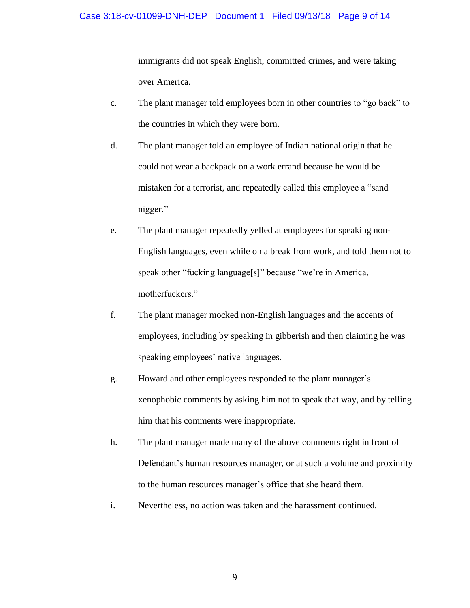# Case 3:18-cv-01099-DNH-DEP Document 1 Filed 09/13/18 Page 9 of 14

immigrants did not speak English, committed crimes, and were taking over America.

- c. The plant manager told employees born in other countries to "go back" to the countries in which they were born.
- d. The plant manager told an employee of Indian national origin that he could not wear a backpack on a work errand because he would be mistaken for a terrorist, and repeatedly called this employee a "sand nigger."
- e. The plant manager repeatedly yelled at employees for speaking non-English languages, even while on a break from work, and told them not to speak other "fucking language[s]" because "we're in America, motherfuckers."
- f. The plant manager mocked non-English languages and the accents of employees, including by speaking in gibberish and then claiming he was speaking employees' native languages.
- g. Howard and other employees responded to the plant manager's xenophobic comments by asking him not to speak that way, and by telling him that his comments were inappropriate.
- h. The plant manager made many of the above comments right in front of Defendant's human resources manager, or at such a volume and proximity to the human resources manager's office that she heard them.
- i. Nevertheless, no action was taken and the harassment continued.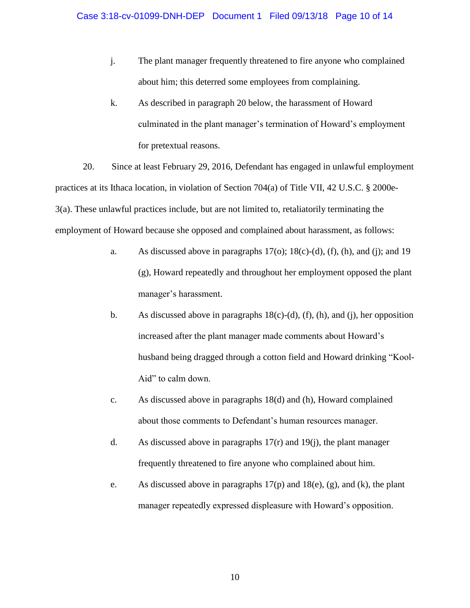- j. The plant manager frequently threatened to fire anyone who complained about him; this deterred some employees from complaining.
- k. As described in paragraph 20 below, the harassment of Howard culminated in the plant manager's termination of Howard's employment for pretextual reasons.

20. Since at least February 29, 2016, Defendant has engaged in unlawful employment practices at its Ithaca location, in violation of Section 704(a) of Title VII, 42 U.S.C. § 2000e-3(a). These unlawful practices include, but are not limited to, retaliatorily terminating the employment of Howard because she opposed and complained about harassment, as follows:

- a. As discussed above in paragraphs  $17<sub>(o)</sub>; 18<sub>(c)</sub>-(d), (f), (h), and (j); and 19$ (g), Howard repeatedly and throughout her employment opposed the plant manager's harassment.
- b. As discussed above in paragraphs  $18(c)-(d)$ , (f), (h), and (j), her opposition increased after the plant manager made comments about Howard's husband being dragged through a cotton field and Howard drinking "Kool-Aid" to calm down.
- c. As discussed above in paragraphs 18(d) and (h), Howard complained about those comments to Defendant's human resources manager.
- d. As discussed above in paragraphs  $17(r)$  and  $19(j)$ , the plant manager frequently threatened to fire anyone who complained about him.
- e. As discussed above in paragraphs  $17(p)$  and  $18(e)$ , (g), and (k), the plant manager repeatedly expressed displeasure with Howard's opposition.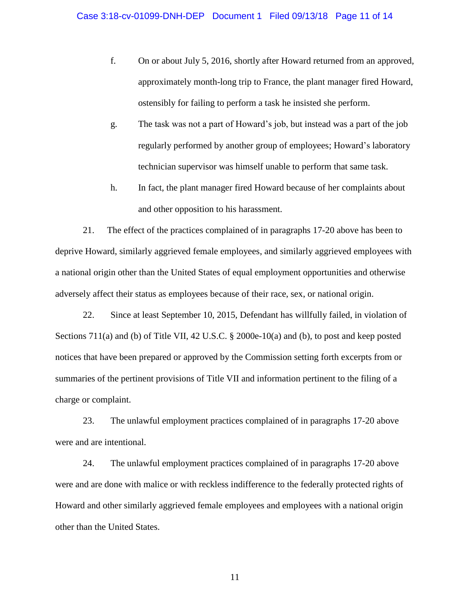- f. On or about July 5, 2016, shortly after Howard returned from an approved, approximately month-long trip to France, the plant manager fired Howard, ostensibly for failing to perform a task he insisted she perform.
- g. The task was not a part of Howard's job, but instead was a part of the job regularly performed by another group of employees; Howard's laboratory technician supervisor was himself unable to perform that same task.
- h. In fact, the plant manager fired Howard because of her complaints about and other opposition to his harassment.

21. The effect of the practices complained of in paragraphs 17-20 above has been to deprive Howard, similarly aggrieved female employees, and similarly aggrieved employees with a national origin other than the United States of equal employment opportunities and otherwise adversely affect their status as employees because of their race, sex, or national origin.

22. Since at least September 10, 2015, Defendant has willfully failed, in violation of Sections 711(a) and (b) of Title VII, 42 U.S.C. § 2000e-10(a) and (b), to post and keep posted notices that have been prepared or approved by the Commission setting forth excerpts from or summaries of the pertinent provisions of Title VII and information pertinent to the filing of a charge or complaint.

23. The unlawful employment practices complained of in paragraphs 17-20 above were and are intentional.

24. The unlawful employment practices complained of in paragraphs 17-20 above were and are done with malice or with reckless indifference to the federally protected rights of Howard and other similarly aggrieved female employees and employees with a national origin other than the United States.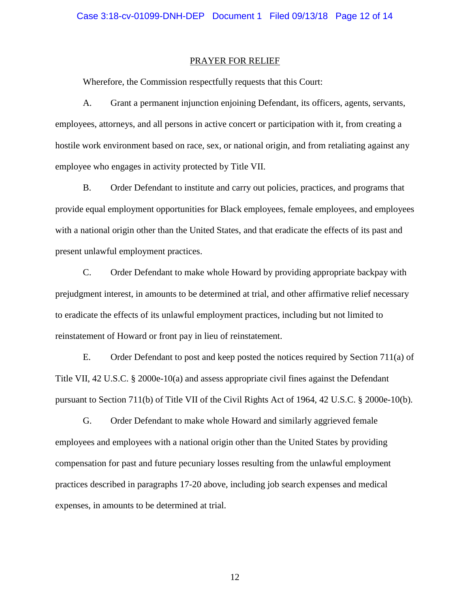### PRAYER FOR RELIEF

Wherefore, the Commission respectfully requests that this Court:

A. Grant a permanent injunction enjoining Defendant, its officers, agents, servants, employees, attorneys, and all persons in active concert or participation with it, from creating a hostile work environment based on race, sex, or national origin, and from retaliating against any employee who engages in activity protected by Title VII.

B. Order Defendant to institute and carry out policies, practices, and programs that provide equal employment opportunities for Black employees, female employees, and employees with a national origin other than the United States, and that eradicate the effects of its past and present unlawful employment practices.

C. Order Defendant to make whole Howard by providing appropriate backpay with prejudgment interest, in amounts to be determined at trial, and other affirmative relief necessary to eradicate the effects of its unlawful employment practices, including but not limited to reinstatement of Howard or front pay in lieu of reinstatement.

E. Order Defendant to post and keep posted the notices required by Section 711(a) of Title VII, 42 U.S.C. § 2000e-10(a) and assess appropriate civil fines against the Defendant pursuant to Section 711(b) of Title VII of the Civil Rights Act of 1964, 42 U.S.C. § 2000e-10(b).

G. Order Defendant to make whole Howard and similarly aggrieved female employees and employees with a national origin other than the United States by providing compensation for past and future pecuniary losses resulting from the unlawful employment practices described in paragraphs 17-20 above, including job search expenses and medical expenses, in amounts to be determined at trial.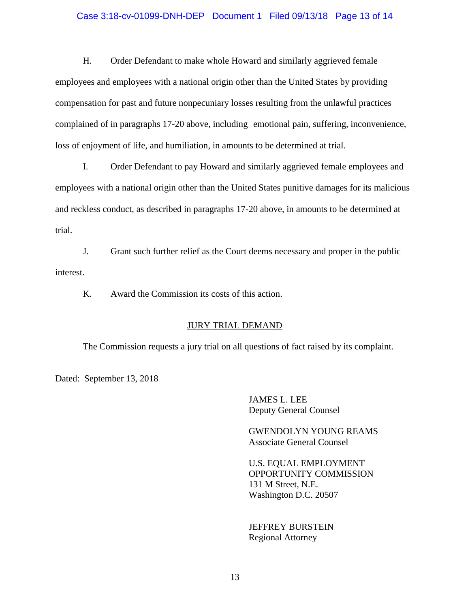## Case 3:18-cv-01099-DNH-DEP Document 1 Filed 09/13/18 Page 13 of 14

H. Order Defendant to make whole Howard and similarly aggrieved female employees and employees with a national origin other than the United States by providing compensation for past and future nonpecuniary losses resulting from the unlawful practices complained of in paragraphs 17-20 above, including emotional pain, suffering, inconvenience, loss of enjoyment of life, and humiliation, in amounts to be determined at trial.

I. Order Defendant to pay Howard and similarly aggrieved female employees and employees with a national origin other than the United States punitive damages for its malicious and reckless conduct, as described in paragraphs 17-20 above, in amounts to be determined at trial.

J. Grant such further relief as the Court deems necessary and proper in the public interest.

K. Award the Commission its costs of this action.

## JURY TRIAL DEMAND

The Commission requests a jury trial on all questions of fact raised by its complaint.

Dated: September 13, 2018

JAMES L. LEE Deputy General Counsel

GWENDOLYN YOUNG REAMS Associate General Counsel

U.S. EQUAL EMPLOYMENT OPPORTUNITY COMMISSION 131 M Street, N.E. Washington D.C. 20507

JEFFREY BURSTEIN Regional Attorney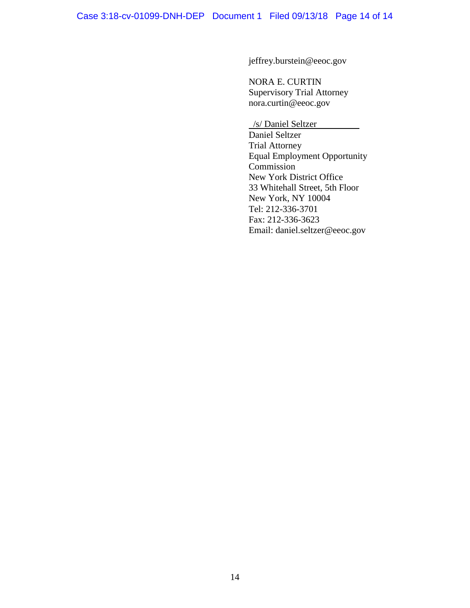jeffrey.burstein@eeoc.gov

NORA E. CURTIN Supervisory Trial Attorney nora.curtin@eeoc.gov

/s/ Daniel Seltzer Daniel Seltzer Trial Attorney Equal Employment Opportunity Commission<sup>1</sup> New York District Office 33 Whitehall Street, 5th Floor New York, NY 10004 Tel: 212-336-3701 Fax: 212-336-3623 Email: daniel.seltzer@eeoc.gov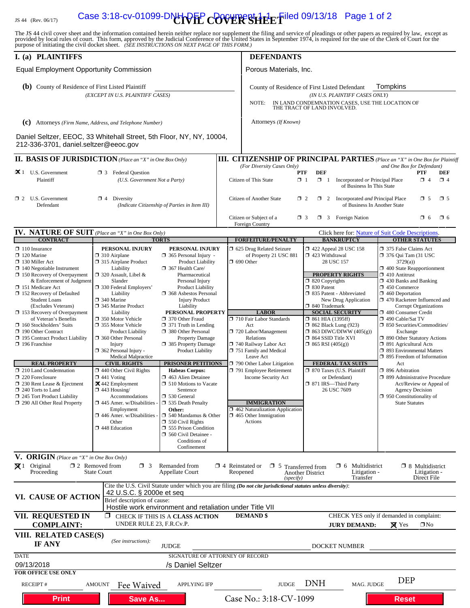# IS 44 (Rev. 06/17) **Case 3:18-cv-01099-DNH PFP COVER SHEET** led 09/13/18 Page 1 of 2

The JS 44 civil cover sheet and the information contained herein neither replace nor supplement the filing and service of pleadings or other papers as required by law, except as provided by local rules of court. This form,

| I. (a) PLAINTIFFS                                                                                                                                                                                                                                                                                                                                                                                                                                                                                                                                                                   |                                                                                                                                                                                                                                                                                                                                                                                                                                                                                                                                          |                                                                                                                                                                                                                                                                                                                                                                                                                                                                                                              |                                                                                                 | <b>DEFENDANTS</b>                                                                                                                                                                                                                                                                                                              |                                                                                                                                                                                                                                                                                                                                                                                                                                                                                                    |                                                                 |                                                                                                                                                                                                                                                                                                                                                                                                                                                                                                                                                                                                                             |                                                       |                        |
|-------------------------------------------------------------------------------------------------------------------------------------------------------------------------------------------------------------------------------------------------------------------------------------------------------------------------------------------------------------------------------------------------------------------------------------------------------------------------------------------------------------------------------------------------------------------------------------|------------------------------------------------------------------------------------------------------------------------------------------------------------------------------------------------------------------------------------------------------------------------------------------------------------------------------------------------------------------------------------------------------------------------------------------------------------------------------------------------------------------------------------------|--------------------------------------------------------------------------------------------------------------------------------------------------------------------------------------------------------------------------------------------------------------------------------------------------------------------------------------------------------------------------------------------------------------------------------------------------------------------------------------------------------------|-------------------------------------------------------------------------------------------------|--------------------------------------------------------------------------------------------------------------------------------------------------------------------------------------------------------------------------------------------------------------------------------------------------------------------------------|----------------------------------------------------------------------------------------------------------------------------------------------------------------------------------------------------------------------------------------------------------------------------------------------------------------------------------------------------------------------------------------------------------------------------------------------------------------------------------------------------|-----------------------------------------------------------------|-----------------------------------------------------------------------------------------------------------------------------------------------------------------------------------------------------------------------------------------------------------------------------------------------------------------------------------------------------------------------------------------------------------------------------------------------------------------------------------------------------------------------------------------------------------------------------------------------------------------------------|-------------------------------------------------------|------------------------|
| <b>Equal Employment Opportunity Commission</b>                                                                                                                                                                                                                                                                                                                                                                                                                                                                                                                                      |                                                                                                                                                                                                                                                                                                                                                                                                                                                                                                                                          |                                                                                                                                                                                                                                                                                                                                                                                                                                                                                                              |                                                                                                 | Porous Materials, Inc.                                                                                                                                                                                                                                                                                                         |                                                                                                                                                                                                                                                                                                                                                                                                                                                                                                    |                                                                 |                                                                                                                                                                                                                                                                                                                                                                                                                                                                                                                                                                                                                             |                                                       |                        |
| (b) County of Residence of First Listed Plaintiff<br>(EXCEPT IN U.S. PLAINTIFF CASES)                                                                                                                                                                                                                                                                                                                                                                                                                                                                                               |                                                                                                                                                                                                                                                                                                                                                                                                                                                                                                                                          |                                                                                                                                                                                                                                                                                                                                                                                                                                                                                                              |                                                                                                 | Tompkins<br>County of Residence of First Listed Defendant<br>(IN U.S. PLAINTIFF CASES ONLY)<br>NOTE:<br>IN LAND CONDEMNATION CASES, USE THE LOCATION OF<br>THE TRACT OF LAND INVOLVED.                                                                                                                                         |                                                                                                                                                                                                                                                                                                                                                                                                                                                                                                    |                                                                 |                                                                                                                                                                                                                                                                                                                                                                                                                                                                                                                                                                                                                             |                                                       |                        |
| (C) Attorneys (Firm Name, Address, and Telephone Number)                                                                                                                                                                                                                                                                                                                                                                                                                                                                                                                            |                                                                                                                                                                                                                                                                                                                                                                                                                                                                                                                                          |                                                                                                                                                                                                                                                                                                                                                                                                                                                                                                              |                                                                                                 | Attorneys (If Known)                                                                                                                                                                                                                                                                                                           |                                                                                                                                                                                                                                                                                                                                                                                                                                                                                                    |                                                                 |                                                                                                                                                                                                                                                                                                                                                                                                                                                                                                                                                                                                                             |                                                       |                        |
| Daniel Seltzer, EEOC, 33 Whitehall Street, 5th Floor, NY, NY, 10004,<br>212-336-3701, daniel.seltzer@eeoc.gov                                                                                                                                                                                                                                                                                                                                                                                                                                                                       |                                                                                                                                                                                                                                                                                                                                                                                                                                                                                                                                          |                                                                                                                                                                                                                                                                                                                                                                                                                                                                                                              |                                                                                                 |                                                                                                                                                                                                                                                                                                                                |                                                                                                                                                                                                                                                                                                                                                                                                                                                                                                    |                                                                 |                                                                                                                                                                                                                                                                                                                                                                                                                                                                                                                                                                                                                             |                                                       |                        |
| <b>II. BASIS OF JURISDICTION</b> (Place an "X" in One Box Only)                                                                                                                                                                                                                                                                                                                                                                                                                                                                                                                     |                                                                                                                                                                                                                                                                                                                                                                                                                                                                                                                                          |                                                                                                                                                                                                                                                                                                                                                                                                                                                                                                              |                                                                                                 | <b>III. CITIZENSHIP OF PRINCIPAL PARTIES</b> (Place an "X" in One Box for Plaintiff                                                                                                                                                                                                                                            |                                                                                                                                                                                                                                                                                                                                                                                                                                                                                                    |                                                                 |                                                                                                                                                                                                                                                                                                                                                                                                                                                                                                                                                                                                                             |                                                       |                        |
| $\mathbf{\times}$ 1 U.S. Government<br><b>13</b> Federal Question<br>Plaintiff<br>(U.S. Government Not a Party)                                                                                                                                                                                                                                                                                                                                                                                                                                                                     |                                                                                                                                                                                                                                                                                                                                                                                                                                                                                                                                          |                                                                                                                                                                                                                                                                                                                                                                                                                                                                                                              |                                                                                                 | (For Diversity Cases Only)<br>Citizen of This State                                                                                                                                                                                                                                                                            | <b>DEF</b><br>PTF<br>$\Box$ 1<br>$\Box$ 1                                                                                                                                                                                                                                                                                                                                                                                                                                                          | Incorporated or Principal Place<br>of Business In This State    | and One Box for Defendant)                                                                                                                                                                                                                                                                                                                                                                                                                                                                                                                                                                                                  | <b>PTF</b><br>$\Box$ 4                                | <b>DEF</b><br>$\Box$ 4 |
| $\Box$ 2 U.S. Government<br>$\Box$ 4 Diversity<br>Defendant<br>(Indicate Citizenship of Parties in Item III)                                                                                                                                                                                                                                                                                                                                                                                                                                                                        |                                                                                                                                                                                                                                                                                                                                                                                                                                                                                                                                          |                                                                                                                                                                                                                                                                                                                                                                                                                                                                                                              |                                                                                                 | Citizen of Another State<br>$\Box$ 2 Incorporated <i>and</i> Principal Place<br>$\square$ 5<br>$\square$ 5<br>$\Box$ 2<br>of Business In Another State                                                                                                                                                                         |                                                                                                                                                                                                                                                                                                                                                                                                                                                                                                    |                                                                 |                                                                                                                                                                                                                                                                                                                                                                                                                                                                                                                                                                                                                             |                                                       |                        |
|                                                                                                                                                                                                                                                                                                                                                                                                                                                                                                                                                                                     |                                                                                                                                                                                                                                                                                                                                                                                                                                                                                                                                          |                                                                                                                                                                                                                                                                                                                                                                                                                                                                                                              |                                                                                                 | Citizen or Subject of a<br>Foreign Country                                                                                                                                                                                                                                                                                     | $\Box$ 3                                                                                                                                                                                                                                                                                                                                                                                                                                                                                           | $\Box$ 3 Foreign Nation                                         |                                                                                                                                                                                                                                                                                                                                                                                                                                                                                                                                                                                                                             | $\Box$ 6                                              | $\Box$ 6               |
| <b>IV. NATURE OF SUIT</b> (Place an "X" in One Box Only)                                                                                                                                                                                                                                                                                                                                                                                                                                                                                                                            |                                                                                                                                                                                                                                                                                                                                                                                                                                                                                                                                          |                                                                                                                                                                                                                                                                                                                                                                                                                                                                                                              |                                                                                                 |                                                                                                                                                                                                                                                                                                                                |                                                                                                                                                                                                                                                                                                                                                                                                                                                                                                    | Click here for: Nature of Suit Code Descriptions.               |                                                                                                                                                                                                                                                                                                                                                                                                                                                                                                                                                                                                                             |                                                       |                        |
| <b>CONTRACT</b>                                                                                                                                                                                                                                                                                                                                                                                                                                                                                                                                                                     |                                                                                                                                                                                                                                                                                                                                                                                                                                                                                                                                          | <b>TORTS</b>                                                                                                                                                                                                                                                                                                                                                                                                                                                                                                 |                                                                                                 | <b>FORFEITURE/PENALTY</b>                                                                                                                                                                                                                                                                                                      |                                                                                                                                                                                                                                                                                                                                                                                                                                                                                                    | <b>BANKRUPTCY</b>                                               |                                                                                                                                                                                                                                                                                                                                                                                                                                                                                                                                                                                                                             | <b>OTHER STATUTES</b>                                 |                        |
| $\Box$ 110 Insurance<br>$\Box$ 120 Marine<br>$\Box$ 130 Miller Act<br>$\Box$ 140 Negotiable Instrument<br>$\Box$ 150 Recovery of Overpayment<br>& Enforcement of Judgment<br>151 Medicare Act<br>$\Box$ 152 Recovery of Defaulted<br><b>Student Loans</b><br>(Excludes Veterans)<br>153 Recovery of Overpayment<br>of Veteran's Benefits<br>160 Stockholders' Suits<br>190 Other Contract<br>□ 195 Contract Product Liability<br>$\Box$ 196 Franchise<br><b>REAL PROPERTY</b><br>210 Land Condemnation<br>220 Foreclosure<br>$\Box$ 230 Rent Lease & Ejectment<br>240 Torts to Land | PERSONAL INJURY<br>$\Box$ 310 Airplane<br>□ 315 Airplane Product<br>Liability<br>$\Box$ 320 Assault, Libel &<br>Slander<br>□ 330 Federal Employers'<br>Liability<br>$\Box$ 340 Marine<br>345 Marine Product<br>Liability<br>□ 350 Motor Vehicle<br>□ 355 Motor Vehicle<br><b>Product Liability</b><br>360 Other Personal<br>Injury<br>$\Box$ 362 Personal Injury -<br><b>Medical Malpractice</b><br><b>CIVIL RIGHTS</b><br>$\Box$ 440 Other Civil Rights<br>$\Box$ 441 Voting<br>$\mathbf{\times}$ 442 Employment<br>$\Box$ 443 Housing/ | PERSONAL INJURY<br>$\Box$ 365 Personal Injury -<br><b>Product Liability</b><br>367 Health Care/<br>Pharmaceutical<br>Personal Injury<br>Product Liability<br>368 Asbestos Personal<br><b>Injury Product</b><br>Liability<br>PERSONAL PROPERTY<br>370 Other Fraud<br>$\Box$ 371 Truth in Lending<br>380 Other Personal<br>Property Damage<br>385 Property Damage<br>Product Liability<br><b>PRISONER PETITIONS</b><br><b>Habeas Corpus:</b><br>463 Alien Detainee<br>$\Box$ 510 Motions to Vacate<br>Sentence |                                                                                                 | 5 625 Drug Related Seizure<br>of Property 21 USC 881<br>$\Box$ 690 Other<br><b>LABOR</b><br>710 Fair Labor Standards<br>Act<br>720 Labor/Management<br>Relations<br>740 Railway Labor Act<br>751 Family and Medical<br>Leave Act<br>$\Box$ 790 Other Labor Litigation<br>791 Employee Retirement<br><b>Income Security Act</b> | $\Box$ 422 Appeal 28 USC 158<br>423 Withdrawal<br>28 USC 157<br><b>PROPERTY RIGHTS</b><br>$\Box$ 820 Copyrights<br>□ 830 Patent<br>335 Patent - Abbreviated<br>New Drug Application<br>□ 840 Trademark<br><b>SOCIAL SECURITY</b><br>$\Box$ 861 HIA (1395ff)<br>$\Box$ 862 Black Lung (923)<br>$\Box$ 863 DIWC/DIWW (405(g))<br>□ 864 SSID Title XVI<br>$\Box$ 865 RSI (405(g))<br><b>FEDERAL TAX SUITS</b><br>□ 870 Taxes (U.S. Plaintiff<br>or Defendant)<br>□ 871 IRS-Third Party<br>26 USC 7609 |                                                                 | □ 375 False Claims Act<br>$\Box$ 376 Qui Tam (31 USC<br>3729(a)<br>$\Box$ 400 State Reapportionment<br>$\Box$ 410 Antitrust<br>$\Box$ 430 Banks and Banking<br>$\Box$ 450 Commerce<br>$\Box$ 460 Deportation<br>□ 470 Racketeer Influenced and<br><b>Corrupt Organizations</b><br>480 Consumer Credit<br>□ 490 Cable/Sat TV<br>□ 850 Securities/Commodities/<br>Exchange<br>□ 890 Other Statutory Actions<br>□ 891 Agricultural Acts<br>□ 893 Environmental Matters<br>$\Box$ 895 Freedom of Information<br>Act<br>□ 896 Arbitration<br>□ 899 Administrative Procedure<br>Act/Review or Appeal of<br><b>Agency Decision</b> |                                                       |                        |
| 245 Tort Product Liability<br>290 All Other Real Property                                                                                                                                                                                                                                                                                                                                                                                                                                                                                                                           | Accommodations<br>$\Box$ 445 Amer. w/Disabilities -<br>Employment<br>$\Box$ 446 Amer. w/Disabilities<br>Other<br>448 Education                                                                                                                                                                                                                                                                                                                                                                                                           | □ 530 General<br>535 Death Penalty<br>Other:<br>$\Box$ 540 Mandamus & Other<br>$\Box$ 550 Civil Rights<br>555 Prison Condition<br>560 Civil Detainee -<br>Conditions of<br>Confinement                                                                                                                                                                                                                                                                                                                       | <b>IMMIGRATION</b><br>462 Naturalization Application<br>$\Box$ 465 Other Immigration<br>Actions |                                                                                                                                                                                                                                                                                                                                |                                                                                                                                                                                                                                                                                                                                                                                                                                                                                                    | $\Box$ 950 Constitutionality of<br><b>State Statutes</b>        |                                                                                                                                                                                                                                                                                                                                                                                                                                                                                                                                                                                                                             |                                                       |                        |
| V. ORIGIN (Place an "X" in One Box Only)<br>$\boxtimes$ 1 Original<br>Proceeding                                                                                                                                                                                                                                                                                                                                                                                                                                                                                                    | $\Box$ 2 Removed from<br>$\Box$ 3<br><b>State Court</b>                                                                                                                                                                                                                                                                                                                                                                                                                                                                                  | Remanded from<br>Appellate Court                                                                                                                                                                                                                                                                                                                                                                                                                                                                             |                                                                                                 | $\Box$ 4 Reinstated or<br>$\Box$ 5<br>Reopened<br>(specify)                                                                                                                                                                                                                                                                    | <b>Transferred</b> from<br><b>Another District</b>                                                                                                                                                                                                                                                                                                                                                                                                                                                 | $\Box$ 6 Multidistrict<br>Litigation -<br>Transfer              |                                                                                                                                                                                                                                                                                                                                                                                                                                                                                                                                                                                                                             | $\Box$ 8 Multidistrict<br>Litigation -<br>Direct File |                        |
| VI. CAUSE OF ACTION                                                                                                                                                                                                                                                                                                                                                                                                                                                                                                                                                                 | 42 U.S.C. § 2000e et seq<br>Brief description of cause:                                                                                                                                                                                                                                                                                                                                                                                                                                                                                  | Hostile work environment and retaliation under Title VII                                                                                                                                                                                                                                                                                                                                                                                                                                                     |                                                                                                 | Cite the U.S. Civil Statute under which you are filing (Do not cite jurisdictional statutes unless diversity):                                                                                                                                                                                                                 |                                                                                                                                                                                                                                                                                                                                                                                                                                                                                                    |                                                                 |                                                                                                                                                                                                                                                                                                                                                                                                                                                                                                                                                                                                                             |                                                       |                        |
| VII. REQUESTED IN<br><b>COMPLAINT:</b>                                                                                                                                                                                                                                                                                                                                                                                                                                                                                                                                              | Π.<br>UNDER RULE 23, F.R.Cv.P.                                                                                                                                                                                                                                                                                                                                                                                                                                                                                                           | CHECK IF THIS IS A CLASS ACTION                                                                                                                                                                                                                                                                                                                                                                                                                                                                              |                                                                                                 | <b>DEMAND</b> \$                                                                                                                                                                                                                                                                                                               |                                                                                                                                                                                                                                                                                                                                                                                                                                                                                                    | CHECK YES only if demanded in complaint:<br><b>JURY DEMAND:</b> | $\boxtimes$ Yes                                                                                                                                                                                                                                                                                                                                                                                                                                                                                                                                                                                                             | $\square$ No                                          |                        |
| VIII. RELATED CASE(S)<br>IF ANY                                                                                                                                                                                                                                                                                                                                                                                                                                                                                                                                                     | (See instructions):                                                                                                                                                                                                                                                                                                                                                                                                                                                                                                                      | JUDGE                                                                                                                                                                                                                                                                                                                                                                                                                                                                                                        |                                                                                                 |                                                                                                                                                                                                                                                                                                                                |                                                                                                                                                                                                                                                                                                                                                                                                                                                                                                    | DOCKET NUMBER                                                   |                                                                                                                                                                                                                                                                                                                                                                                                                                                                                                                                                                                                                             |                                                       |                        |
| <b>DATE</b><br>09/13/2018<br><b>FOR OFFICE USE ONLY</b>                                                                                                                                                                                                                                                                                                                                                                                                                                                                                                                             |                                                                                                                                                                                                                                                                                                                                                                                                                                                                                                                                          | SIGNATURE OF ATTORNEY OF RECORD<br>/s Daniel Seltzer                                                                                                                                                                                                                                                                                                                                                                                                                                                         |                                                                                                 |                                                                                                                                                                                                                                                                                                                                |                                                                                                                                                                                                                                                                                                                                                                                                                                                                                                    |                                                                 |                                                                                                                                                                                                                                                                                                                                                                                                                                                                                                                                                                                                                             |                                                       |                        |
| RECEIPT#                                                                                                                                                                                                                                                                                                                                                                                                                                                                                                                                                                            | Fee Waived<br><b>AMOUNT</b>                                                                                                                                                                                                                                                                                                                                                                                                                                                                                                              | <b>APPLYING IFP</b>                                                                                                                                                                                                                                                                                                                                                                                                                                                                                          |                                                                                                 | <b>JUDGE</b>                                                                                                                                                                                                                                                                                                                   | <b>DNH</b>                                                                                                                                                                                                                                                                                                                                                                                                                                                                                         | MAG. JUDGE                                                      | <b>DEP</b>                                                                                                                                                                                                                                                                                                                                                                                                                                                                                                                                                                                                                  |                                                       |                        |
| <b>Print</b>                                                                                                                                                                                                                                                                                                                                                                                                                                                                                                                                                                        | <b>Save As</b>                                                                                                                                                                                                                                                                                                                                                                                                                                                                                                                           |                                                                                                                                                                                                                                                                                                                                                                                                                                                                                                              |                                                                                                 | Case No.: 3:18-CV-1099                                                                                                                                                                                                                                                                                                         |                                                                                                                                                                                                                                                                                                                                                                                                                                                                                                    |                                                                 | <b>Reset</b>                                                                                                                                                                                                                                                                                                                                                                                                                                                                                                                                                                                                                |                                                       |                        |